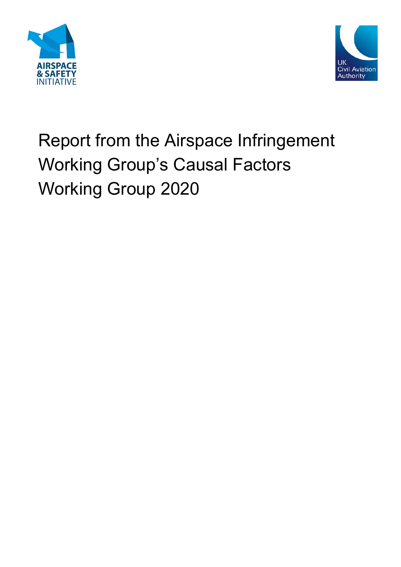



# Report from the Airspace Infringement Working Group's Causal Factors Working Group 2020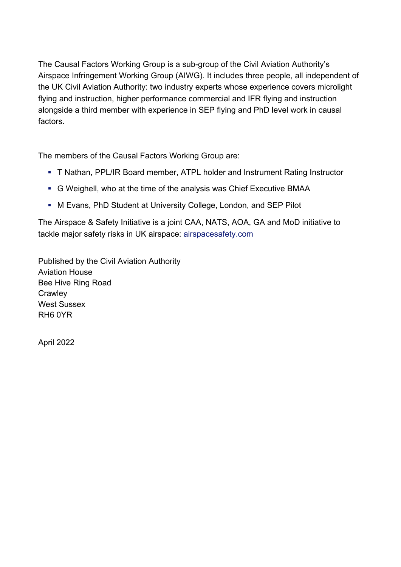The Causal Factors Working Group is a sub-group of the Civil Aviation Authority's Airspace Infringement Working Group (AIWG). It includes three people, all independent of the UK Civil Aviation Authority: two industry experts whose experience covers microlight flying and instruction, higher performance commercial and IFR flying and instruction alongside a third member with experience in SEP flying and PhD level work in causal factors.

The members of the Causal Factors Working Group are:

- T Nathan, PPL/IR Board member, ATPL holder and Instrument Rating Instructor
- G Weighell, who at the time of the analysis was Chief Executive BMAA
- M Evans, PhD Student at University College, London, and SEP Pilot

The Airspace & Safety Initiative is a joint CAA, NATS, AOA, GA and MoD initiative to tackle major safety risks in UK airspace: [airspacesafety.com](http://www.airspacesafety.com/) 

Published by the Civil Aviation Authority Aviation House Bee Hive Ring Road **Crawley** West Sussex RH6 0YR

April 2022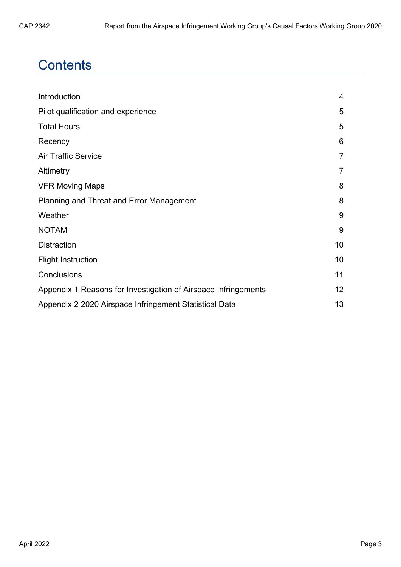### **Contents**

| Introduction                                                   | 4  |
|----------------------------------------------------------------|----|
| Pilot qualification and experience                             | 5  |
| <b>Total Hours</b>                                             | 5  |
| Recency                                                        | 6  |
| <b>Air Traffic Service</b>                                     | 7  |
| Altimetry                                                      |    |
| <b>VFR Moving Maps</b>                                         | 8  |
| Planning and Threat and Error Management                       | 8  |
| Weather                                                        | 9  |
| <b>NOTAM</b>                                                   | 9  |
| <b>Distraction</b>                                             | 10 |
| <b>Flight Instruction</b>                                      | 10 |
| Conclusions                                                    | 11 |
| Appendix 1 Reasons for Investigation of Airspace Infringements | 12 |
| Appendix 2 2020 Airspace Infringement Statistical Data         | 13 |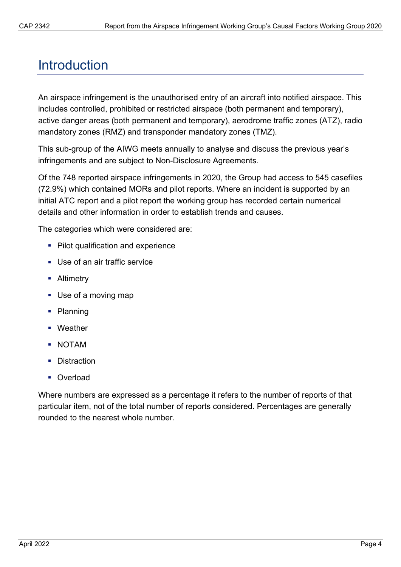### <span id="page-3-0"></span>**Introduction**

An airspace infringement is the unauthorised entry of an aircraft into notified airspace. This includes controlled, prohibited or restricted airspace (both permanent and temporary), active danger areas (both permanent and temporary), aerodrome traffic zones (ATZ), radio mandatory zones (RMZ) and transponder mandatory zones (TMZ).

This sub-group of the AIWG meets annually to analyse and discuss the previous year's infringements and are subject to Non-Disclosure Agreements.

Of the 748 reported airspace infringements in 2020, the Group had access to 545 casefiles (72.9%) which contained MORs and pilot reports. Where an incident is supported by an initial ATC report and a pilot report the working group has recorded certain numerical details and other information in order to establish trends and causes.

The categories which were considered are:

- Pilot qualification and experience
- **Use of an air traffic service**
- **-** Altimetry
- Use of a moving map
- Planning
- Weather
- NOTAM
- **Distraction**
- Overload

Where numbers are expressed as a percentage it refers to the number of reports of that particular item, not of the total number of reports considered. Percentages are generally rounded to the nearest whole number.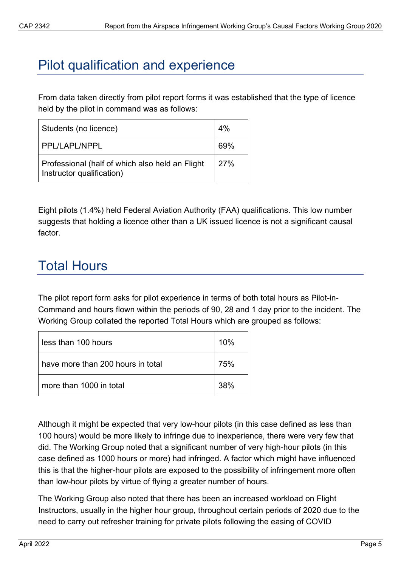# <span id="page-4-0"></span>Pilot qualification and experience

From data taken directly from pilot report forms it was established that the type of licence held by the pilot in command was as follows:

| Students (no licence)                                                        | 4%  |
|------------------------------------------------------------------------------|-----|
| PPL/LAPL/NPPL                                                                | 69% |
| Professional (half of which also held an Flight<br>Instructor qualification) | 27% |

Eight pilots (1.4%) held Federal Aviation Authority (FAA) qualifications. This low number suggests that holding a licence other than a UK issued licence is not a significant causal factor.

# <span id="page-4-1"></span>Total Hours

The pilot report form asks for pilot experience in terms of both total hours as Pilot-in-Command and hours flown within the periods of 90, 28 and 1 day prior to the incident. The Working Group collated the reported Total Hours which are grouped as follows:

| less than 100 hours               | 10% |
|-----------------------------------|-----|
| have more than 200 hours in total | 75% |
| more than 1000 in total           | 38% |

Although it might be expected that very low-hour pilots (in this case defined as less than 100 hours) would be more likely to infringe due to inexperience, there were very few that did. The Working Group noted that a significant number of very high-hour pilots (in this case defined as 1000 hours or more) had infringed. A factor which might have influenced this is that the higher-hour pilots are exposed to the possibility of infringement more often than low-hour pilots by virtue of flying a greater number of hours.

The Working Group also noted that there has been an increased workload on Flight Instructors, usually in the higher hour group, throughout certain periods of 2020 due to the need to carry out refresher training for private pilots following the easing of COVID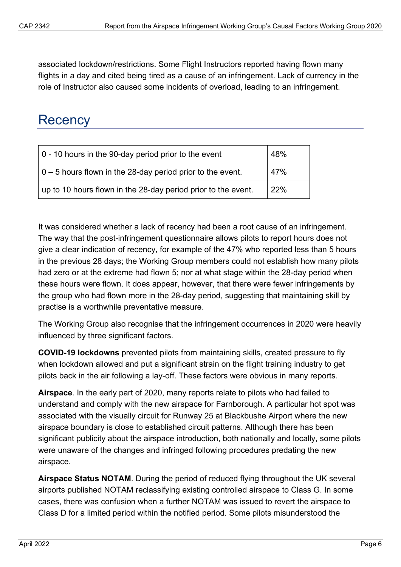associated lockdown/restrictions. Some Flight Instructors reported having flown many flights in a day and cited being tired as a cause of an infringement. Lack of currency in the role of Instructor also caused some incidents of overload, leading to an infringement.

## <span id="page-5-0"></span>**Recency**

| 0 - 10 hours in the 90-day period prior to the event               | 48% |
|--------------------------------------------------------------------|-----|
| $\vert$ 0 – 5 hours flown in the 28-day period prior to the event. | 47% |
| up to 10 hours flown in the 28-day period prior to the event.      | 22% |

It was considered whether a lack of recency had been a root cause of an infringement. The way that the post-infringement questionnaire allows pilots to report hours does not give a clear indication of recency, for example of the 47% who reported less than 5 hours in the previous 28 days; the Working Group members could not establish how many pilots had zero or at the extreme had flown 5; nor at what stage within the 28-day period when these hours were flown. It does appear, however, that there were fewer infringements by the group who had flown more in the 28-day period, suggesting that maintaining skill by practise is a worthwhile preventative measure.

The Working Group also recognise that the infringement occurrences in 2020 were heavily influenced by three significant factors.

**COVID-19 lockdowns** prevented pilots from maintaining skills, created pressure to fly when lockdown allowed and put a significant strain on the flight training industry to get pilots back in the air following a lay-off. These factors were obvious in many reports.

**Airspace**. In the early part of 2020, many reports relate to pilots who had failed to understand and comply with the new airspace for Farnborough. A particular hot spot was associated with the visually circuit for Runway 25 at Blackbushe Airport where the new airspace boundary is close to established circuit patterns. Although there has been significant publicity about the airspace introduction, both nationally and locally, some pilots were unaware of the changes and infringed following procedures predating the new airspace.

**Airspace Status NOTAM**. During the period of reduced flying throughout the UK several airports published NOTAM reclassifying existing controlled airspace to Class G. In some cases, there was confusion when a further NOTAM was issued to revert the airspace to Class D for a limited period within the notified period. Some pilots misunderstood the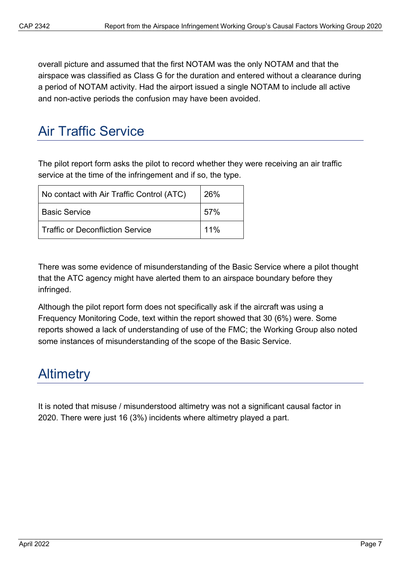overall picture and assumed that the first NOTAM was the only NOTAM and that the airspace was classified as Class G for the duration and entered without a clearance during a period of NOTAM activity. Had the airport issued a single NOTAM to include all active and non-active periods the confusion may have been avoided.

#### <span id="page-6-0"></span>Air Traffic Service

The pilot report form asks the pilot to record whether they were receiving an air traffic service at the time of the infringement and if so, the type.

| No contact with Air Traffic Control (ATC) | 26% |
|-------------------------------------------|-----|
| <b>Basic Service</b>                      | 57% |
| l Traffic or Deconfliction Service        | 11% |

There was some evidence of misunderstanding of the Basic Service where a pilot thought that the ATC agency might have alerted them to an airspace boundary before they infringed.

Although the pilot report form does not specifically ask if the aircraft was using a Frequency Monitoring Code, text within the report showed that 30 (6%) were. Some reports showed a lack of understanding of use of the FMC; the Working Group also noted some instances of misunderstanding of the scope of the Basic Service.

#### <span id="page-6-1"></span>**Altimetry**

<span id="page-6-2"></span>It is noted that misuse / misunderstood altimetry was not a significant causal factor in 2020. There were just 16 (3%) incidents where altimetry played a part.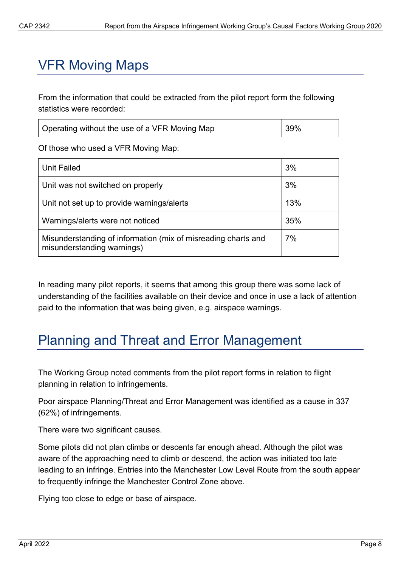# VFR Moving Maps

From the information that could be extracted from the pilot report form the following statistics were recorded:

| Operating without the use of a VFR Moving Map | 39% |
|-----------------------------------------------|-----|
|                                               |     |

Of those who used a VFR Moving Map:

| Unit Failed                                                                                 | 3%  |
|---------------------------------------------------------------------------------------------|-----|
| Unit was not switched on properly                                                           | 3%  |
| Unit not set up to provide warnings/alerts                                                  | 13% |
| Warnings/alerts were not noticed                                                            | 35% |
| Misunderstanding of information (mix of misreading charts and<br>misunderstanding warnings) | 7%  |

In reading many pilot reports, it seems that among this group there was some lack of understanding of the facilities available on their device and once in use a lack of attention paid to the information that was being given, e.g. airspace warnings.

## <span id="page-7-0"></span>Planning and Threat and Error Management

The Working Group noted comments from the pilot report forms in relation to flight planning in relation to infringements.

Poor airspace Planning/Threat and Error Management was identified as a cause in 337 (62%) of infringements.

There were two significant causes.

Some pilots did not plan climbs or descents far enough ahead. Although the pilot was aware of the approaching need to climb or descend, the action was initiated too late leading to an infringe. Entries into the Manchester Low Level Route from the south appear to frequently infringe the Manchester Control Zone above.

Flying too close to edge or base of airspace.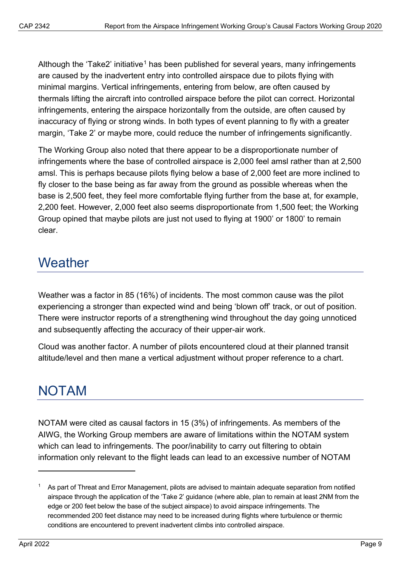Although the 'Take2' initiative<sup>[1](#page-8-2)</sup> has been published for several years, many infringements are caused by the inadvertent entry into controlled airspace due to pilots flying with minimal margins. Vertical infringements, entering from below, are often caused by thermals lifting the aircraft into controlled airspace before the pilot can correct. Horizontal infringements, entering the airspace horizontally from the outside, are often caused by inaccuracy of flying or strong winds. In both types of event planning to fly with a greater margin, 'Take 2' or maybe more, could reduce the number of infringements significantly.

The Working Group also noted that there appear to be a disproportionate number of infringements where the base of controlled airspace is 2,000 feel amsl rather than at 2,500 amsl. This is perhaps because pilots flying below a base of 2,000 feet are more inclined to fly closer to the base being as far away from the ground as possible whereas when the base is 2,500 feet, they feel more comfortable flying further from the base at, for example, 2,200 feet. However, 2,000 feet also seems disproportionate from 1,500 feet; the Working Group opined that maybe pilots are just not used to flying at 1900' or 1800' to remain clear.

# <span id="page-8-0"></span>**Weather**

Weather was a factor in 85 (16%) of incidents. The most common cause was the pilot experiencing a stronger than expected wind and being 'blown off' track, or out of position. There were instructor reports of a strengthening wind throughout the day going unnoticed and subsequently affecting the accuracy of their upper-air work.

Cloud was another factor. A number of pilots encountered cloud at their planned transit altitude/level and then mane a vertical adjustment without proper reference to a chart.

# <span id="page-8-1"></span>NOTAM

NOTAM were cited as causal factors in 15 (3%) of infringements. As members of the AIWG, the Working Group members are aware of limitations within the NOTAM system which can lead to infringements. The poor/inability to carry out filtering to obtain information only relevant to the flight leads can lead to an excessive number of NOTAM

<span id="page-8-2"></span><sup>1</sup> As part of Threat and Error Management, pilots are advised to maintain adequate separation from notified airspace through the application of the 'Take 2' guidance (where able, plan to remain at least 2NM from the edge or 200 feet below the base of the subject airspace) to avoid airspace infringements. The recommended 200 feet distance may need to be increased during flights where turbulence or thermic conditions are encountered to prevent inadvertent climbs into controlled airspace.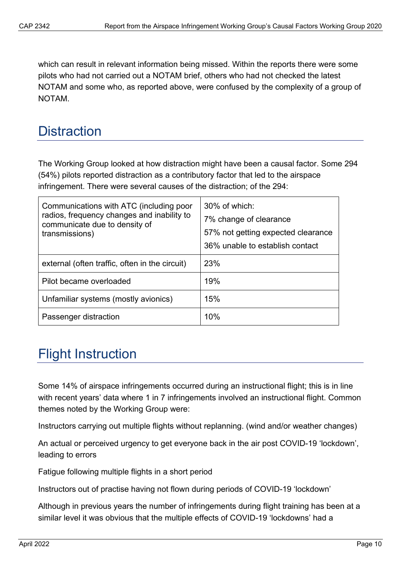which can result in relevant information being missed. Within the reports there were some pilots who had not carried out a NOTAM brief, others who had not checked the latest NOTAM and some who, as reported above, were confused by the complexity of a group of NOTAM.

#### <span id="page-9-0"></span>**Distraction**

The Working Group looked at how distraction might have been a causal factor. Some 294 (54%) pilots reported distraction as a contributory factor that led to the airspace infringement. There were several causes of the distraction; of the 294:

| Communications with ATC (including poor<br>radios, frequency changes and inability to<br>communicate due to density of<br>transmissions) | 30% of which:<br>7% change of clearance<br>57% not getting expected clearance<br>36% unable to establish contact |
|------------------------------------------------------------------------------------------------------------------------------------------|------------------------------------------------------------------------------------------------------------------|
| external (often traffic, often in the circuit)                                                                                           | 23%                                                                                                              |
| Pilot became overloaded                                                                                                                  | 19%                                                                                                              |
| Unfamiliar systems (mostly avionics)                                                                                                     | 15%                                                                                                              |
| Passenger distraction                                                                                                                    | 10%                                                                                                              |

# <span id="page-9-1"></span>Flight Instruction

Some 14% of airspace infringements occurred during an instructional flight; this is in line with recent years' data where 1 in 7 infringements involved an instructional flight. Common themes noted by the Working Group were:

Instructors carrying out multiple flights without replanning. (wind and/or weather changes)

An actual or perceived urgency to get everyone back in the air post COVID-19 'lockdown', leading to errors

Fatigue following multiple flights in a short period

Instructors out of practise having not flown during periods of COVID-19 'lockdown'

Although in previous years the number of infringements during flight training has been at a similar level it was obvious that the multiple effects of COVID-19 'lockdowns' had a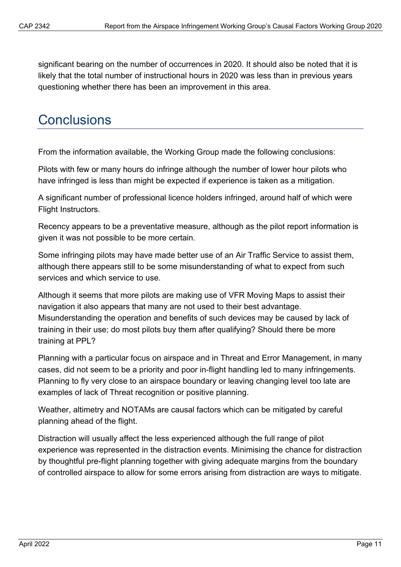significant bearing on the number of occurrences in 2020. It should also be noted that it is likely that the total number of instructional hours in 2020 was less than in previous years questioning whether there has been an improvement in this area.

### <span id="page-10-0"></span>**Conclusions**

From the information available, the Working Group made the following conclusions:

Pilots with few or many hours do infringe although the number of lower hour pilots who have infringed is less than might be expected if experience is taken as a mitigation.

A significant number of professional licence holders infringed, around half of which were Flight Instructors.

Recency appears to be a preventative measure, although as the pilot report information is given it was not possible to be more certain.

Some infringing pilots may have made better use of an Air Traffic Service to assist them, although there appears still to be some misunderstanding of what to expect from such services and which service to use.

Although it seems that more pilots are making use of VFR Moving Maps to assist their navigation it also appears that many are not used to their best advantage. Misunderstanding the operation and benefits of such devices may be caused by lack of training in their use; do most pilots buy them after qualifying? Should there be more training at PPL?

Planning with a particular focus on airspace and in Threat and Error Management, in many cases, did not seem to be a priority and poor in-flight handling led to many infringements. Planning to fly very close to an airspace boundary or leaving changing level too late are examples of lack of Threat recognition or positive planning.

Weather, altimetry and NOTAMs are causal factors which can be mitigated by careful planning ahead of the flight.

Distraction will usually affect the less experienced although the full range of pilot experience was represented in the distraction events. Minimising the chance for distraction by thoughtful pre-flight planning together with giving adequate margins from the boundary of controlled airspace to allow for some errors arising from distraction are ways to mitigate.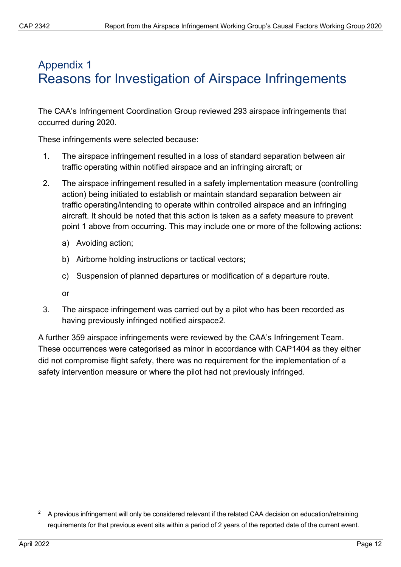#### <span id="page-11-0"></span>Appendix 1 Reasons for Investigation of Airspace Infringements

The CAA's Infringement Coordination Group reviewed 293 airspace infringements that occurred during 2020.

These infringements were selected because:

- 1. The airspace infringement resulted in a loss of standard separation between air traffic operating within notified airspace and an infringing aircraft; or
- 2. The airspace infringement resulted in a safety implementation measure (controlling action) being initiated to establish or maintain standard separation between air traffic operating/intending to operate within controlled airspace and an infringing aircraft. It should be noted that this action is taken as a safety measure to prevent point 1 above from occurring. This may include one or more of the following actions:
	- a) Avoiding action;
	- b) Airborne holding instructions or tactical vectors;
	- c) Suspension of planned departures or modification of a departure route.
	- or
- 3. The airspace infringement was carried out by a pilot who has been recorded as having previously infringed notified airspace[2](#page-11-1).

A further 359 airspace infringements were reviewed by the CAA's Infringement Team. These occurrences were categorised as minor in accordance with CAP1404 as they either did not compromise flight safety, there was no requirement for the implementation of a safety intervention measure or where the pilot had not previously infringed.

<span id="page-11-1"></span> $^{\rm 2}$   $\,$  A previous infringement will only be considered relevant if the related CAA decision on education/retraining requirements for that previous event sits within a period of 2 years of the reported date of the current event.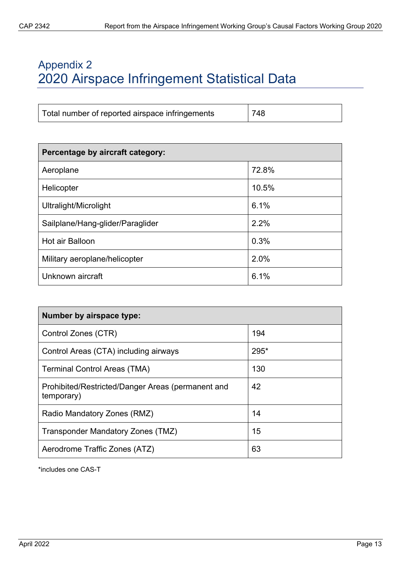#### <span id="page-12-0"></span>Appendix 2 2020 Airspace Infringement Statistical Data

| Percentage by aircraft category: |       |
|----------------------------------|-------|
| Aeroplane                        | 72.8% |
| Helicopter                       | 10.5% |
| Ultralight/Microlight            | 6.1%  |
| Sailplane/Hang-glider/Paraglider | 2.2%  |
| Hot air Balloon                  | 0.3%  |
| Military aeroplane/helicopter    | 2.0%  |
| Unknown aircraft                 | 6.1%  |

| Number by airspace type:                                        |      |
|-----------------------------------------------------------------|------|
| Control Zones (CTR)                                             | 194  |
| Control Areas (CTA) including airways                           | 295* |
| <b>Terminal Control Areas (TMA)</b>                             | 130  |
| Prohibited/Restricted/Danger Areas (permanent and<br>temporary) | 42   |
| Radio Mandatory Zones (RMZ)                                     | 14   |
| Transponder Mandatory Zones (TMZ)                               | 15   |
| Aerodrome Traffic Zones (ATZ)                                   | 63   |

\*includes one CAS-T